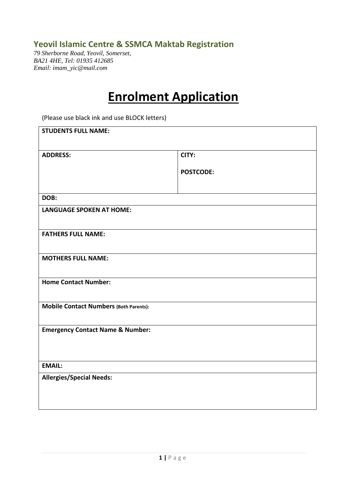## **Yeovil Islamic Centre & SSMCA Maktab Registration**

*79 Sherborne Road, Yeovil, Somerset, BA21 4HE, Tel: 01935 412685 Email: imam\_yic@mail.com*

# **Enrolment Application**<br>(Please use black ink and use BLOCK letters)

| <b>STUDENTS FULL NAME:</b>                    |                  |
|-----------------------------------------------|------------------|
| <b>ADDRESS:</b>                               | CITY:            |
|                                               | <b>POSTCODE:</b> |
|                                               |                  |
| DOB:                                          |                  |
| <b>LANGUAGE SPOKEN AT HOME:</b>               |                  |
| <b>FATHERS FULL NAME:</b>                     |                  |
| <b>MOTHERS FULL NAME:</b>                     |                  |
| <b>Home Contact Number:</b>                   |                  |
| <b>Mobile Contact Numbers (Both Parents):</b> |                  |
| <b>Emergency Contact Name &amp; Number:</b>   |                  |
| <b>EMAIL:</b>                                 |                  |
| <b>Allergies/Special Needs:</b>               |                  |
|                                               |                  |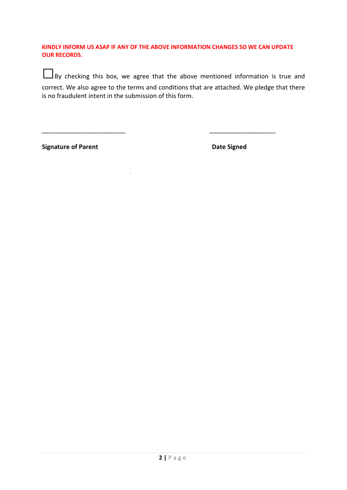**KINDLY INFORM US ASAP IF ANY OF THE ABOVE INFORMATION CHANGES SO WE CAN UPDATE OUR RECORDS.** 

■By checking this box, we agree that the above mentioned information is true and correct. We also agree to the terms and conditions that are attached. We pledge that there is no fraudulent intent in the submission of this form.

\_\_\_\_\_\_\_\_\_\_\_\_\_\_\_\_\_\_\_\_\_\_\_\_ \_\_\_\_\_\_\_\_\_\_\_\_\_\_\_\_\_\_\_

.

**Signature of Parent Community Community Community Community Community Community Community Community Community**